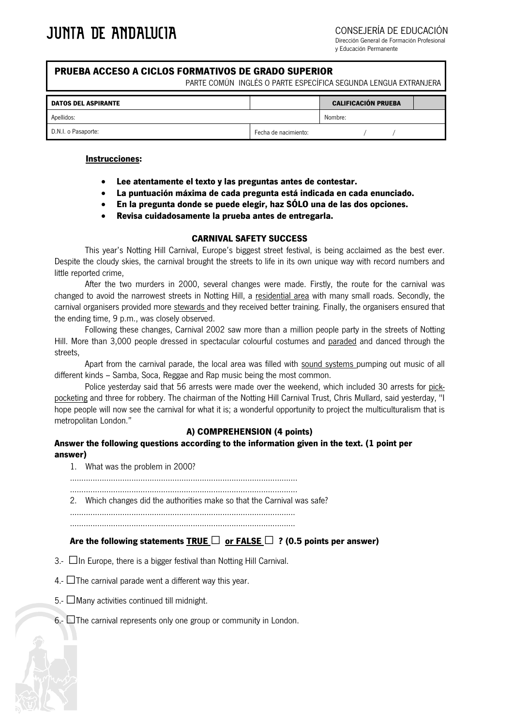CONSEJERÍA DE EDUCACIÓN

Dirección General de Formación Profesional y Educación Permanente

| <b>PRUEBA ACCESO A CICLOS FORMATIVOS DE GRADO SUPERIOR</b>      |  |                            |  |
|-----------------------------------------------------------------|--|----------------------------|--|
| PARTE COMÚN INGLÉS O PARTE ESPECÍFICA SEGUNDA LENGUA EXTRANJERA |  |                            |  |
|                                                                 |  |                            |  |
| <b>DATOS DEL ASPIRANTE</b>                                      |  | <b>CALIFICACIÓN PRUEBA</b> |  |
| Apellidos:                                                      |  | Nombre:                    |  |

#### **Instrucciones:**

• **Lee atentamente el texto y las preguntas antes de contestar.** 

D.N.I. o Pasaporte: Fecha de nacimiento: / /

- **La puntuación máxima de cada pregunta está indicada en cada enunciado.**
- **En la pregunta donde se puede elegir, haz SÓLO una de las dos opciones.**
- **Revisa cuidadosamente la prueba antes de entregarla.**

#### **CARNIVAL SAFETY SUCCESS**

This year's Notting Hill Carnival, Europe's biggest street festival, is being acclaimed as the best ever. Despite the cloudy skies, the carnival brought the streets to life in its own unique way with record numbers and little reported crime,

After the two murders in 2000, several changes were made. Firstly, the route for the carnival was changed to avoid the narrowest streets in Notting Hill, a residential area with many small roads. Secondly, the carnival organisers provided more stewards and they received better training. Finally, the organisers ensured that the ending time, 9 p.m., was closely observed.

Following these changes, Carnival 2002 saw more than a million people party in the streets of Notting Hill. More than 3,000 people dressed in spectacular colourful costumes and paraded and danced through the streets,

Apart from the carnival parade, the local area was filled with sound systems pumping out music of all different kinds – Samba, Soca, Reggae and Rap music being the most common.

Police yesterday said that 56 arrests were made over the weekend, which included 30 arrests for pickpocketing and three for robbery. The chairman of the Notting Hill Carnival Trust, Chris Mullard, said yesterday, "I hope people will now see the carnival for what it is; a wonderful opportunity to project the multiculturalism that is metropolitan London."

### **A) COMPREHENSION (4 points)**

#### **Answer the following questions according to the information given in the text. (1 point per answer)**

1. What was the problem in 2000?

. The same state of the state of the state of the state of the state of the state of the state of the state of the state of the state of the state of the state of the state of the state of the state of the state of the st

2. Which changes did the authorities make so that the Carnival was safe?

………………………………………………………………………………………

………………………………………………………………………………………

## **Are the following statements TRUE** □ **or FALSE** □ **? (0.5 points per answer)**

3.-  $\Box$  In Europe, there is a bigger festival than Notting Hill Carnival.

4.-  $\Box$  The carnival parade went a different way this year.

- 5.- □Many activities continued till midnight.
- $6.$   $\Box$  The carnival represents only one group or community in London.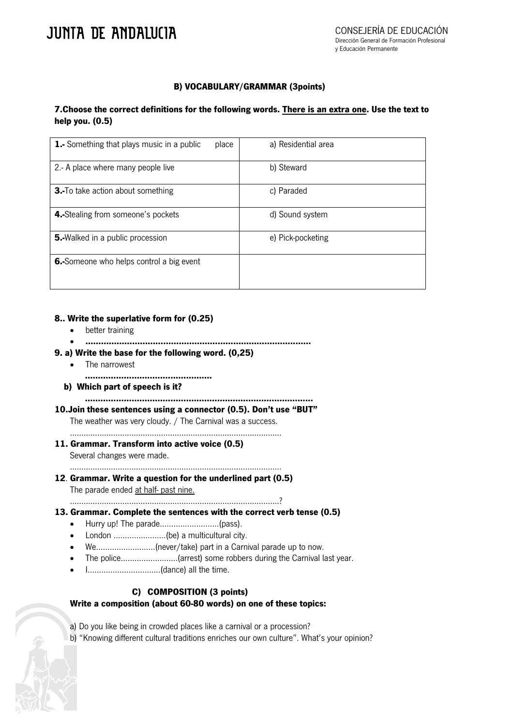## JUNTA DE ANDAIUCIA

#### **B) VOCABULARY/GRAMMAR (3points)**

#### **7.Choose the correct definitions for the following words. There is an extra one. Use the text to help you. (0.5)**

| 1. Something that plays music in a public<br>place | a) Residential area |
|----------------------------------------------------|---------------------|
| 2.- A place where many people live                 | b) Steward          |
| <b>3.-</b> To take action about something          | c) Paraded          |
| 4. Stealing from someone's pockets                 | d) Sound system     |
| <b>5.</b> -Walked in a public procession           | e) Pick-pocketing   |
| 6.-Someone who helps control a big event           |                     |

#### **8.. Write the superlative form for (0.25)**

- better training
- **……………………………………………………………………………**
- **9. a) Write the base for the following word. (0,25)** 
	- The narrowest
	- **………………………………………….**
	- **b) Which part of speech is it?**
- **………………………………………………………………………....... 10.Join these sentences using a connector (0.5). Don't use "BUT"**  The weather was very cloudy. / The Carnival was a success.
- **11. Grammar. Transform into active voice (0.5)**  Several changes were made.
- ………………………………………………………………………………... **12**. **Grammar. Write a question for the underlined part (0.5)**  The parade ended at half- past nine.

………………………………………………………………………………...

………………………………………………………………………………..?

- **13. Grammar. Complete the sentences with the correct verb tense (0.5)** 
	- Hurry up! The parade……………………..(pass).
	- London …………………..(be) a multicultural city.
	- We……………………..(never/take) part in a Carnival parade up to now.
	- The police…………………….(arrest) some robbers during the Carnival last year.
	- I…………………………..(dance) all the time.

### **C) COMPOSITION (3 points)**

#### **Write a composition (about 60-80 words) on one of these topics:**

- a) Do you like being in crowded places like a carnival or a procession?
- b) "Knowing different cultural traditions enriches our own culture". What's your opinion?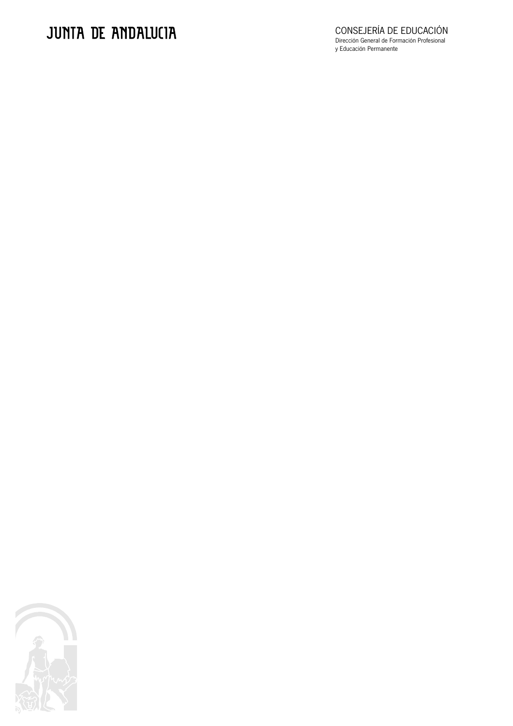# JUNTA DE ANDALUCIA

CONSEJERÍA DE EDUCACIÓN Dirección General de Formación Profesional y Educación Permanente

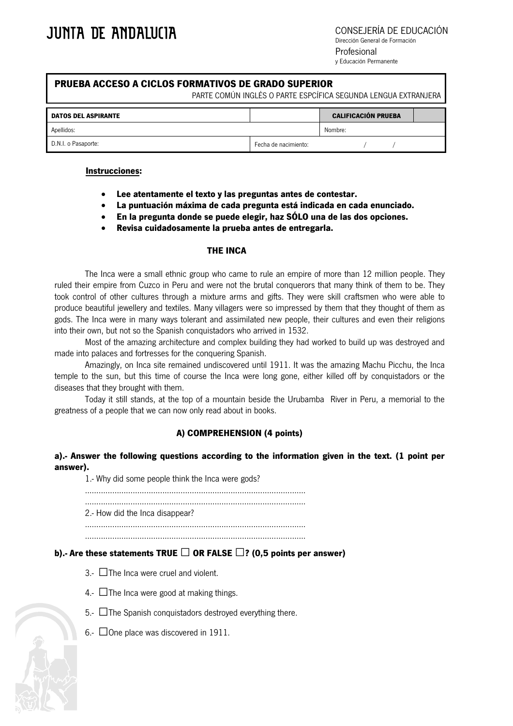CONSEJERÍA DE EDUCACIÓN

Dirección General de Formación Profesional

y Educación Permanente

## **PRUEBA ACCESO A CICLOS FORMATIVOS DE GRADO SUPERIOR**

PARTE COMÚN INGLÉS O PARTE ESPCÍFICA SEGUNDA LENGUA EXTRANJERA

| <b>DATOS DEL ASPIRANTE</b> |                      | <b>CALIFICACIÓN PRUEBA</b> |
|----------------------------|----------------------|----------------------------|
| Apellidos:                 |                      | Nombre:                    |
| D.N.I. o Pasaporte:        | Fecha de nacimiento: |                            |

### **Instrucciones:**

- **Lee atentamente el texto y las preguntas antes de contestar.**
- **La puntuación máxima de cada pregunta está indicada en cada enunciado.**
- **En la pregunta donde se puede elegir, haz SÓLO una de las dos opciones.**
- **Revisa cuidadosamente la prueba antes de entregarla.**

## **THE INCA**

 The Inca were a small ethnic group who came to rule an empire of more than 12 million people. They ruled their empire from Cuzco in Peru and were not the brutal conquerors that many think of them to be. They took control of other cultures through a mixture arms and gifts. They were skill craftsmen who were able to produce beautiful jewellery and textiles. Many villagers were so impressed by them that they thought of them as gods. The Inca were in many ways tolerant and assimilated new people, their cultures and even their religions into their own, but not so the Spanish conquistadors who arrived in 1532.

 Most of the amazing architecture and complex building they had worked to build up was destroyed and made into palaces and fortresses for the conquering Spanish.

 Amazingly, on Inca site remained undiscovered until 1911. It was the amazing Machu Picchu, the Inca temple to the sun, but this time of course the Inca were long gone, either killed off by conquistadors or the diseases that they brought with them.

 Today it still stands, at the top of a mountain beside the Urubamba River in Peru, a memorial to the greatness of a people that we can now only read about in books.

## **A) COMPREHENSION (4 points)**

## **a).- Answer the following questions according to the information given in the text. (1 point per answer).**

1.- Why did some people think the Inca were gods?

 ……………………………………………………………………………………. …………………………………………………………………………………….

### 2.- How did the Inca disappear?

 ……………………………………………………………………………………. …………………………………………………………………………………….

## **b).- Are these statements TRUE** □ **OR FALSE** □**? (0,5 points per answer)**

- $3.5$   $\Box$  The Inca were cruel and violent.
- 4.-  $\Box$  The Inca were good at making things.
- 5.-  $\Box$  The Spanish conquistadors destroyed everything there.
- 6.-  $\Box$  One place was discovered in 1911.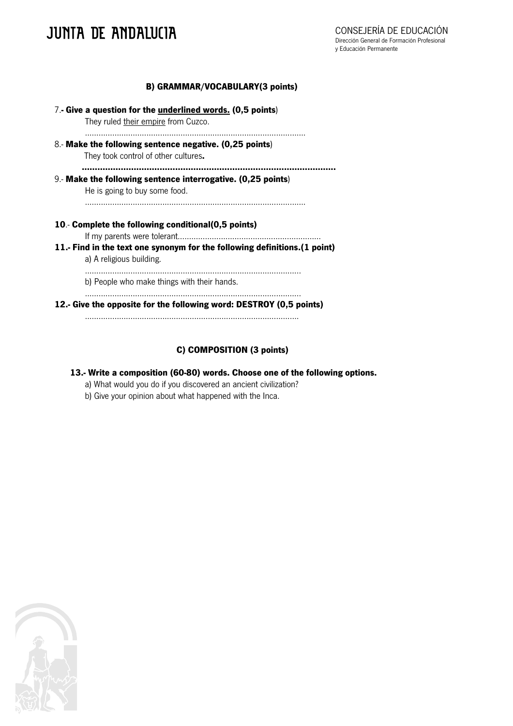## JUNTA DE ANDALUCIA

#### **B) GRAMMAR/VOCABULARY(3 points)**

| 7. Give a question for the underlined words. (0,5 points)<br>They ruled their empire from Cuzco.                                                             |  |
|--------------------------------------------------------------------------------------------------------------------------------------------------------------|--|
| 8. Make the following sentence negative. (0,25 points)<br>They took control of other cultures.                                                               |  |
| 9. Make the following sentence interrogative. (0,25 points)<br>He is going to buy some food.<br>10. Complete the following conditional(0,5 points)           |  |
| If my parents were tolerant<br>11.- Find in the text one synonym for the following definitions. (1 point)<br>a) A religious building.                        |  |
| b) People who make things with their hands.<br>,,,,,,,,,,,,,,,,,,,,,,,,,,,,,,,,,,,,,,<br>12.- Give the opposite for the following word: DESTROY (0,5 points) |  |
|                                                                                                                                                              |  |

#### **C) COMPOSITION (3 points)**

- **13.- Write a composition (60-80) words. Choose one of the following options.** 
	- a) What would you do if you discovered an ancient civilization?
	- b) Give your opinion about what happened with the Inca.

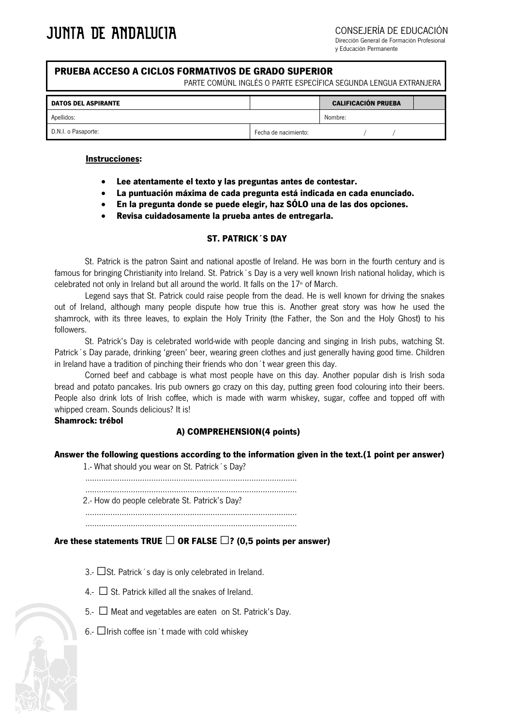CONSEJERÍA DE EDUCACIÓN

Dirección General de Formación Profesional y Educación Permanente

#### **PRUEBA ACCESO A CICLOS FORMATIVOS DE GRADO SUPERIOR**

PARTE COMÚNL INGLÉS O PARTE ESPECÍFICA SEGUNDA LENGUA EXTRANJERA

| <b>DATOS DEL ASPIRANTE</b> |                      | <b>CALIFICACIÓN PRUEBA</b> |
|----------------------------|----------------------|----------------------------|
| Apellidos:                 |                      | Nombre:                    |
| D.N.I. o Pasaporte:        | Fecha de nacimiento: |                            |

#### **Instrucciones:**

- **Lee atentamente el texto y las preguntas antes de contestar.**
- **La puntuación máxima de cada pregunta está indicada en cada enunciado.**
- **En la pregunta donde se puede elegir, haz SÓLO una de las dos opciones.**
- **Revisa cuidadosamente la prueba antes de entregarla.**

#### **ST. PATRICK´S DAY**

 St. Patrick is the patron Saint and national apostle of Ireland. He was born in the fourth century and is famous for bringing Christianity into Ireland. St. Patrick´s Day is a very well known Irish national holiday, which is celebrated not only in Ireland but all around the world. It falls on the  $17<sup>th</sup>$  of March.

 Legend says that St. Patrick could raise people from the dead. He is well known for driving the snakes out of Ireland, although many people dispute how true this is. Another great story was how he used the shamrock, with its three leaves, to explain the Holy Trinity (the Father, the Son and the Holy Ghost) to his followers.

 St. Patrick's Day is celebrated world-wide with people dancing and singing in Irish pubs, watching St. Patrick´s Day parade, drinking 'green' beer, wearing green clothes and just generally having good time. Children in Ireland have a tradition of pinching their friends who don´t wear green this day.

 Corned beef and cabbage is what most people have on this day. Another popular dish is Irish soda bread and potato pancakes. Iris pub owners go crazy on this day, putting green food colouring into their beers. People also drink lots of Irish coffee, which is made with warm whiskey, sugar, coffee and topped off with whipped cream. Sounds delicious? It is!

#### **Shamrock: trébol**

#### **A) COMPREHENSION(4 points)**

#### **Answer the following questions according to the information given in the text.(1 point per answer)**

 1.- What should you wear on St. Patrick´s Day? ………………………………………………………………………………… . The same state of the state of the state of the state of the state of the state of the state of the state of the state of the state of the state of the state of the state of the state of the state of the state of the st 2.- How do people celebrate St. Patrick's Day? …………………………………………………………………………………

…………………………………………………………………………………

#### **Are these statements TRUE** □ **OR FALSE** □**? (0,5 points per answer)**

- 3.-  $\Box$  St. Patrick 's day is only celebrated in Ireland.
- 4.-  $\Box$  St. Patrick killed all the snakes of Ireland.
- 5.-  $\Box$  Meat and vegetables are eaten on St. Patrick's Day.
- 6.-  $\Box$  Irish coffee isn't made with cold whiskey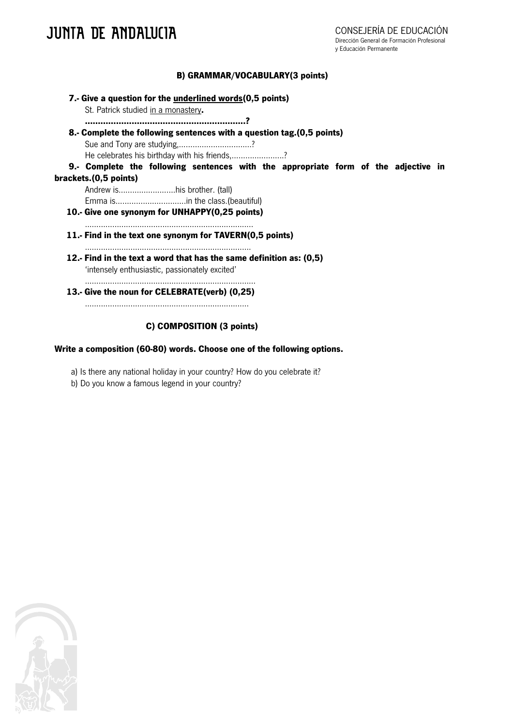## JUNTA DE ANDALUCIA

#### **B) GRAMMAR/VOCABULARY(3 points)**

#### **7.- Give a question for the underlined words(0,5 points)**

St. Patrick studied in a monastery**.** 

- **……………………………………………………..?**
- **8.- Complete the following sentences with a question tag.(0,5 points)**  Sue and Tony are studying,...............................?

He celebrates his birthday with his friends,.....................?

#### **9.- Complete the following sentences with the appropriate form of the adjective in brackets.(0,5 points)**

 Andrew is…………………….his brother. (tall) Emma is………………………….in the class.(beautiful)

 **10.- Give one synonym for UNHAPPY(0,25 points)**  ………………………………………………………………..

……………………………………………………………….

- **11.- Find in the text one synonym for TAVERN(0,5 points)**
- **12.- Find in the text a word that has the same definition as: (0,5)**  'intensely enthusiastic, passionately excited' …………………………………………………………………
- **13.- Give the noun for CELEBRATE(verb) (0,25)**  ………………………………………………………………

## **C) COMPOSITION (3 points)**

#### **Write a composition (60-80) words. Choose one of the following options.**

- a) Is there any national holiday in your country? How do you celebrate it?
- b) Do you know a famous legend in your country?

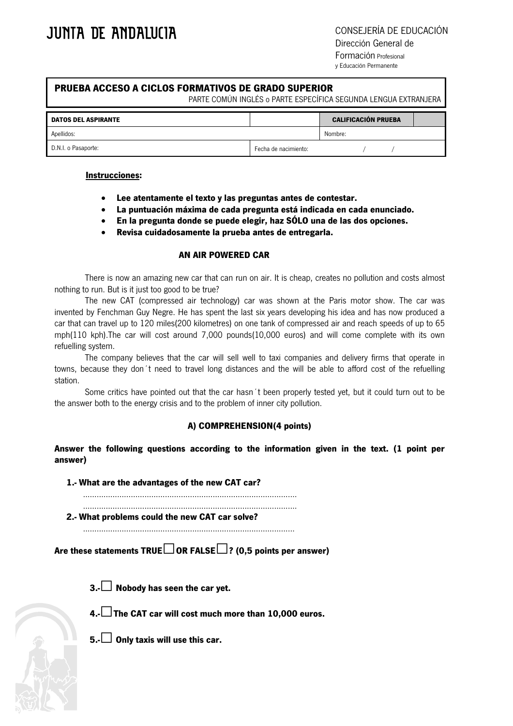## JUNTA DE ANDAIUCIA

CONSEJERÍA DE EDUCACIÓN

Dirección General de Formación Profesional

y Educación Permanente

## **PRUEBA ACCESO A CICLOS FORMATIVOS DE GRADO SUPERIOR**

PARTE COMÚN INGLÉS o PARTE ESPECÍFICA SEGUNDA LENGUA EXTRANJERA

| <b>DATOS DEL ASPIRANTE</b> |                      | <b>CALIFICACIÓN PRUEBA</b> |
|----------------------------|----------------------|----------------------------|
| Apellidos:                 |                      | Nombre:                    |
| D.N.I. o Pasaporte:        | Fecha de nacimiento: |                            |

#### **Instrucciones:**

- **Lee atentamente el texto y las preguntas antes de contestar.**
- **La puntuación máxima de cada pregunta está indicada en cada enunciado.**
- **En la pregunta donde se puede elegir, haz SÓLO una de las dos opciones.**
- **Revisa cuidadosamente la prueba antes de entregarla.**

#### **AN AIR POWERED CAR**

 There is now an amazing new car that can run on air. It is cheap, creates no pollution and costs almost nothing to run. But is it just too good to be true?

 The new CAT (compressed air technology) car was shown at the Paris motor show. The car was invented by Fenchman Guy Negre. He has spent the last six years developing his idea and has now produced a car that can travel up to 120 miles(200 kilometres) on one tank of compressed air and reach speeds of up to 65 mph(110 kph).The car will cost around 7,000 pounds(10,000 euros) and will come complete with its own refuelling system.

 The company believes that the car will sell well to taxi companies and delivery firms that operate in towns, because they don´t need to travel long distances and the will be able to afford cost of the refuelling station.

 Some critics have pointed out that the car hasn´t been properly tested yet, but it could turn out to be the answer both to the energy crisis and to the problem of inner city pollution.

#### **A) COMPREHENSION(4 points)**

**Answer the following questions according to the information given in the text. (1 point per answer)** 

 **1.- What are the advantages of the new CAT car?** 

 …………………………………………………………………………………. ………………………………………………………………………………….

 **2.- What problems could the new CAT car solve?** 

…………………………………………………………………………………

**Are these statements TRUE**□**OR FALSE**□**? (0,5 points per answer)** 

 **3.-□ Nobody has seen the car yet.** 

 **4.-□The CAT car will cost much more than 10,000 euros.** 

 **5.-□ Only taxis will use this car.**